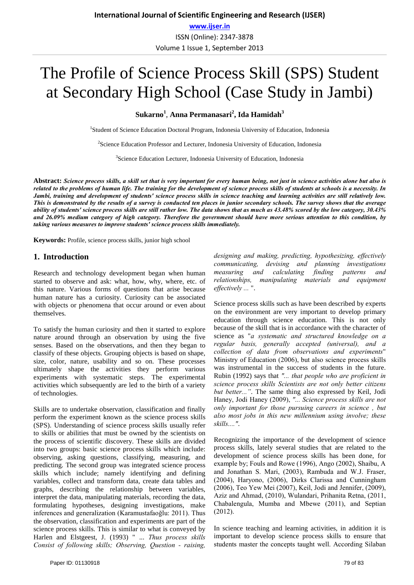# The Profile of Science Process Skill (SPS) Student at Secondary High School (Case Study in Jambi)

**Sukarno<sup>1</sup>** , **Anna Permanasari<sup>2</sup> , Ida Hamidah3**

<sup>1</sup>Student of Science Education Doctoral Program, Indonesia University of Education, Indonesia

<sup>2</sup>Science Education Professor and Lecturer, Indonesia University of Education, Indonesia

<sup>3</sup>Science Education Lecturer, Indonesia University of Education, Indonesia

**Abstract:** *Science process skills, a skill set that is very important for every human being, not just in science activities alone but also is related to the problems of human life. The training for the development of science process skills of students at schools is a necessity. In Jambi, training and development of students' science process skills in science teaching and learning activities are still relatively low. This is demonstrated by the results of a survey is conducted ten places in junior secondary schools. The survey shows that the average ability of students' science process skills are still rather low. The data shows that as much as 43.48% scored by the low category, 30.43% and 26.09% medium category of high category. Therefore the government should have more serious attention to this condition, by taking various measures to improve students' science process skills immediately.* 

**Keywords:** Profile, science process skills, junior high school

#### **1. Introduction**

Research and technology development began when human started to observe and ask: what, how, why, where, etc. of this nature. Various forms of questions that arise because human nature has a curiosity. Curiosity can be associated with objects or phenomena that occur around or even about themselves.

To satisfy the human curiosity and then it started to explore nature around through an observation by using the five senses. Based on the observations, and then they began to classify of these objects. Grouping objects is based on shape, size, color, nature, usability and so on. These processes ultimately shape the activities they perform various experiments with systematic steps. The experimental activities which subsequently are led to the birth of a variety of technologies.

Skills are to undertake observation, classification and finally perform the experiment known as the science process skills (SPS). Understanding of science process skills usually refer to skills or abilities that must be owned by the scientists on the process of scientific discovery. These skills are divided into two groups: basic science process skills which include: observing, asking questions, classifying, measuring, and predicting. The second group was integrated science process skills which include; namely identifying and defining variables, collect and transform data, create data tables and graphs, describing the relationship between variables, interpret the data, manipulating materials, recording the data, formulating hypotheses, designing investigations, make inferences and generalization (Karamustafaoğlu: 2011). Thus the observation, classification and experiments are part of the science process skills. This is similar to what is conveyed by Harlen and Elstgeest, J. (1993) " ... *Thus process skills Consist of following skills; Observing, Question - raising,* 

*designing and making, predicting, hypothesizing, effectively communicating, devising and planning investigations measuring and calculating finding patterns and relationships, manipulating materials and equipment effectively ...* 

Science process skills such as have been described by experts on the environment are very important to develop primary education through science education. This is not only because of the skill that is in accordance with the character of science as "*a systematic and structured knowledge on a regular basis, generally accepted (universal), and a collection of data from observations and experiments*" Ministry of Education (2006), but also science process skills was instrumental in the success of students in the future. Rubin (1992) says that *"... that people who are proficient in science process skills Scientists are not only better citizens but better..."*. The same thing also expressed by Keil, Jodi Haney, Jodi Haney (2009), *"... Science process skills are not only important for those pursuing careers in science , but also most jobs in this new millennium using involve; these skills...."*.

Recognizing the importance of the development of science process skills, lately several studies that are related to the development of science process skills has been done, for example by; Fouls and Rowe (1996), Ango (2002), Shaibu, A and Jonathan S. Mari, (2003), Rambuda and W.J. Fraser, (2004), Haryono, (2006), Dirks Clarissa and Cunningham (2006), Teo Yew Mei (2007), Keil, Jodi and Jennifer, (2009), Aziz and Ahmad, (2010), Wulandari, Prihanita Retna, (2011, Chabalengula, Mumba and Mbewe (2011), and Septian (2012).

In science teaching and learning activities, in addition it is important to develop science process skills to ensure that students master the concepts taught well. According Silaban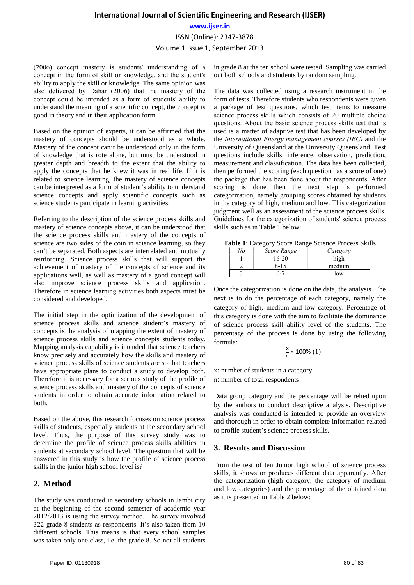## **International Journal of Scientific Engineering and Research (IJSER) www.ijser.in** ISSN (Online): 2347-3878 Volume 1 Issue 1, September 2013

(2006) concept mastery is students' understanding of a concept in the form of skill or knowledge, and the student's ability to apply the skill or knowledge. The same opinion was also delivered by Dahar (2006) that the mastery of the concept could be intended as a form of students' ability to understand the meaning of a scientific concept, the concept is good in theory and in their application form.

Based on the opinion of experts, it can be affirmed that the mastery of concepts should be understood as a whole. Mastery of the concept can't be understood only in the form of knowledge that is rote alone, but must be understood in greater depth and breadth to the extent that the ability to apply the concepts that he knew it was in real life. If it is related to science learning, the mastery of science concepts can be interpreted as a form of student's ability to understand science concepts and apply scientific concepts such as science students participate in learning activities.

Referring to the description of the science process skills and mastery of science concepts above, it can be understood that the science process skills and mastery of the concepts of science are two sides of the coin in science learning, so they can't be separated. Both aspects are interrelated and mutually reinforcing. Science process skills that will support the achievement of mastery of the concepts of science and its applications well, as well as mastery of a good concept will also improve science process skills and application. Therefore in science learning activities both aspects must be considered and developed.

The initial step in the optimization of the development of science process skills and science student's mastery of concepts is the analysis of mapping the extent of mastery of science process skills and science concepts students today. Mapping analysis capability is intended that science teachers know precisely and accurately how the skills and mastery of science process skills of science students are so that teachers have appropriate plans to conduct a study to develop both. Therefore it is necessary for a serious study of the profile of science process skills and mastery of the concepts of science students in order to obtain accurate information related to both.

Based on the above, this research focuses on science process skills of students, especially students at the secondary school level. Thus, the purpose of this survey study was to determine the profile of science process skills abilities in students at secondary school level. The question that will be answered in this study is how the profile of science process skills in the junior high school level is?

## **2. Method**

The study was conducted in secondary schools in Jambi city at the beginning of the second semester of academic year 2012/2013 is using the survey method. The survey involved 322 grade 8 students as respondents. It's also taken from 10 different schools. This means is that every school samples was taken only one class, i.e. the grade 8. So not all students

in grade 8 at the ten school were tested. Sampling was carried out both schools and students by random sampling.

The data was collected using a research instrument in the form of tests. Therefore students who respondents were given a package of test questions, which test items to measure science process skills which consists of 20 multiple choice questions. About the basic science process skills test that is used is a matter of adaptive test that has been developed by the *International Energy management courses (IEC)* and the University of Queensland at the University Queensland. Test questions include skills; inference, observation, prediction, measurement and classification. The data has been collected, then performed the scoring (each question has a score of one) the package that has been done about the respondents. After scoring is done then the next step is performed categorization, namely grouping scores obtained by students in the category of high, medium and low. This categorization judgment well as an assessment of the science process skills. Guidelines for the categorization of students' science process skills such as in Table 1 below:

**Table 1**: Category Score Range Science Process Skills

| Score Range | Category   |
|-------------|------------|
| 16-20       |            |
| 8-1         | medium     |
|             | $\alpha w$ |

Once the categorization is done on the data, the analysis. The next is to do the percentage of each category, namely the category of high, medium and low category. Percentage of this category is done with the aim to facilitate the dominance of science process skill ability level of the students. The percentage of the process is done by using the following formula:

$$
\frac{x}{n} * 100\% (1)
$$

x: number of students in a category n: number of total respondents

Data group category and the percentage will be relied upon by the authors to conduct descriptive analysis. Descriptive analysis was conducted is intended to provide an overview and thorough in order to obtain complete information related to profile student's science process skills.

## **3. Results and Discussion**

From the test of ten Junior high school of science process skills, it shows or produces different data apparently. After the categorization (high category, the category of medium and low categories) and the percentage of the obtained data as it is presented in Table 2 below: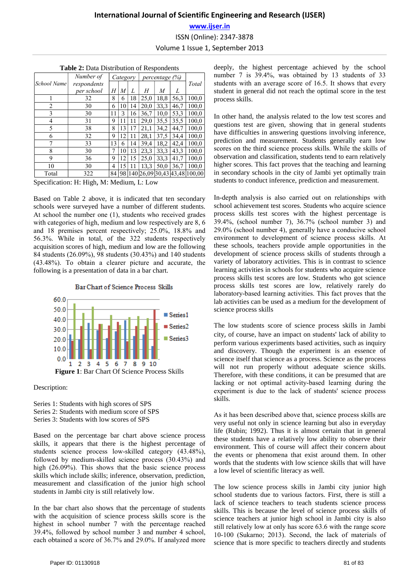# **International Journal of Scientific Engineering and Research (IJSER) www.ijser.in** ISSN (Online): 2347-3878 Volume 1 Issue 1, September 2013

| <b>Table 2:</b> Data Distribution of Respondents |             |          |    |    |                |      |                       |        |  |
|--------------------------------------------------|-------------|----------|----|----|----------------|------|-----------------------|--------|--|
|                                                  | Number of   | Category |    |    | percentage (%) |      |                       |        |  |
| School Name                                      | respondents |          |    |    |                |      |                       | Total  |  |
|                                                  | per school  | Η        | M  | L  | Η              | M    | L                     |        |  |
|                                                  | 32          | 8        | 6  | 18 | 25,0           | 18.8 | 56,3                  | 100,0  |  |
| 2                                                | 30          | 6        | 10 | 14 | 20,0           | 33.3 | 46,7                  | 100,0  |  |
| 3                                                | 30          | 11       | 3  | 16 | 36.7           | 10.0 | 53.3                  | 100,0  |  |
| 4                                                | 31          | 9        | 11 | 11 | 29,0           | 35,5 | 35,5                  | 100,0  |  |
| 5                                                | 38          | 8        | 13 | 17 | 21,1           | 34,2 | 44.7                  | 100,0  |  |
| 6                                                | 32          | 9        | 12 | 11 | 28,1           | 37.5 | 34.4                  | 100,0  |  |
| 7                                                | 33          | 13       | 6  | 14 | 39,4           | 18,2 | 42,4                  | 100,0  |  |
| 8                                                | 30          | 7        | 10 | 13 | 23.3           | 33.3 | 43,3                  | 100,0  |  |
| 9                                                | 36          | 9        | 12 | 15 | 25,0           | 33.3 | 41.7                  | 100,0  |  |
| 10                                               | 30          | 4        | 15 | 11 | 13,3           | 50.0 | 36,7                  | 100,0  |  |
| Total                                            | 322         | 84       | 98 |    |                |      | 140 26,09 30,43 43,48 | 100,00 |  |
|                                                  |             |          |    |    |                |      |                       |        |  |

Specification: H: High, M: Medium, L: Low

Based on Table 2 above, it is indicated that ten secondary schools were surveyed have a number of different students. At school the number one (1), students who received grades with categories of high, medium and low respectively are 8, 6 and 18 premises percent respectively; 25.0%, 18.8% and 56.3%. While in total, of the 322 students respectively acquisition scores of high, medium and low are the following 84 students (26.09%), 98 students (30.43%) and 140 students (43.48%). To obtain a clearer picture and accurate, the following is a presentation of data in a bar chart.

Bar Chart of Science Process Skills



Description:

Series 1: Students with high scores of SPS Series 2: Students with medium score of SPS Series 3: Students with low scores of SPS

Based on the percentage bar chart above science process skills, it appears that there is the highest percentage of students science process low-skilled category (43.48%), followed by medium-skilled science process (30.43%) and high (26.09%). This shows that the basic science process skills which include skills; inference, observation, prediction, measurement and classification of the junior high school students in Jambi city is still relatively low.

In the bar chart also shows that the percentage of students with the acquisition of science process skills score is the highest in school number 7 with the percentage reached 39.4%, followed by school number 3 and number 4 school, each obtained a score of 36.7% and 29.0%. If analyzed more

deeply, the highest percentage achieved by the school number 7 is 39.4%, was obtained by 13 students of 33 students with an average score of 16.5. It shows that every student in general did not reach the optimal score in the test process skills.

In other hand, the analysis related to the low test scores and questions test are given, showing that in general students have difficulties in answering questions involving inference, prediction and measurement. Students generally earn low scores on the third science process skills. While the skills of observation and classification, students tend to earn relatively higher scores. This fact proves that the teaching and learning in secondary schools in the city of Jambi yet optimally train students to conduct inference, prediction and measurement.

In-depth analysis is also carried out on relationships with school achievement test scores. Students who acquire science process skills test scores with the highest percentage is 39.4%, (school number 7), 36.7% (school number 3) and 29.0% (school number 4), generally have a conducive school environment to development of science process skills. At these schools, teachers provide ample opportunities in the development of science process skills of students through a variety of laboratory activities. This is in contrast to science learning activities in schools for students who acquire science process skills test scores are low. Students who got science process skills test scores are low, relatively rarely do laboratory-based learning activities. This fact proves that the lab activities can be used as a medium for the development of science process skills

The low students score of science process skills in Jambi city, of course, have an impact on students' lack of ability to perform various experiments based activities, such as inquiry and discovery. Though the experiment is an essence of science itself that science as a process. Science as the process will not run properly without adequate science skills. Therefore, with these conditions, it can be presumed that are lacking or not optimal activity-based learning during the experiment is due to the lack of students' science process skills.

As it has been described above that, science process skills are very useful not only in science learning but also in everyday life (Rubin; 1992). Thus it is almost certain that in general these students have a relatively low ability to observe their environment. This of course will affect their concern about the events or phenomena that exist around them. In other words that the students with low science skills that will have a low level of scientific literacy as well.

The low science process skills in Jambi city junior high school students due to various factors. First, there is still a lack of science teachers to teach students science process skills. This is because the level of science process skills of science teachers at junior high school in Jambi city is also still relatively low at only has score 63.6 with the range score 10-100 (Sukarno; 2013). Second, the lack of materials of science that is more specific to teachers directly and students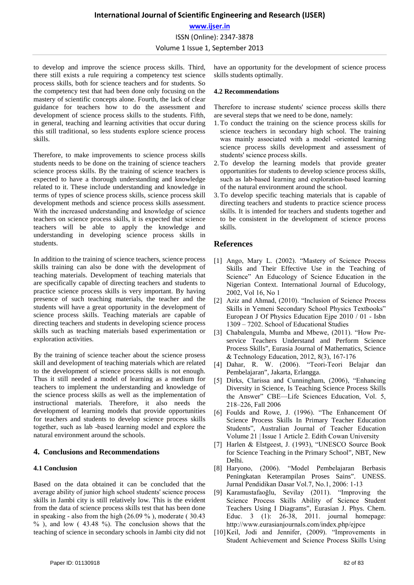# **International Journal of Scientific Engineering and Research (IJSER) www.ijser.in** ISSN (Online): 2347-3878 Volume 1 Issue 1, September 2013

to develop and improve the science process skills. Third, there still exists a rule requiring a competency test science process skills, both for science teachers and for students. So the competency test that had been done only focusing on the mastery of scientific concepts alone. Fourth, the lack of clear guidance for teachers how to do the assessment and development of science process skills to the students. Fifth, in general, teaching and learning activities that occur during this still traditional, so less students explore science process skills.

Therefore, to make improvements to science process skills students needs to be done on the training of science teachers science process skills. By the training of science teachers is expected to have a thorough understanding and knowledge related to it. These include understanding and knowledge in terms of types of science process skills, science process skill development methods and science process skills assessment. With the increased understanding and knowledge of science teachers on science process skills, it is expected that science teachers will be able to apply the knowledge and understanding in developing science process skills in students.

In addition to the training of science teachers, science process skills training can also be done with the development of teaching materials. Development of teaching materials that are specifically capable of directing teachers and students to practice science process skills is very important. By having presence of such teaching materials, the teacher and the students will have a great opportunity in the development of science process skills. Teaching materials are capable of directing teachers and students in developing science process skills such as teaching materials based experimentation or exploration activities.

By the training of science teacher about the science prosess skill and development of teaching materials which are related to the development of science process skills is not enough. Thus it still needed a model of learning as a medium for teachers to implement the understanding and knowledge of the science process skills as well as the implementation of instructional materials. Therefore, it also needs the development of learning models that provide opportunities for teachers and students to develop science process skills together, such as lab -based learning model and explore the natural environment around the schools.

#### **4. Conclusions and Recommendations**

#### **4.1 Conclusion**

Based on the data obtained it can be concluded that the average ability of junior high school students' science process skills in Jambi city is still relatively low. This is the evident from the data of science process skills test that has been done in speaking - also from the high (26.09 % ), moderate ( 30.43  $\%$ ), and low (43.48 %). The conclusion shows that the teaching of science in secondary schools in Jambi city did not

#### **4.2 Recommendations**

Therefore to increase students' science process skills there are several steps that we need to be done, namely:

- 1.To conduct the training on the science process skills for science teachers in secondary high school. The training was mainly associated with a model -oriented learning science process skills development and assessment of students' science process skills.
- 2.To develop the learning models that provide greater opportunities for students to develop science process skills, such as lab-based learning and exploration-based learning of the natural environment around the school.
- 3.To develop specific teaching materials that is capable of directing teachers and students to practice science process skills. It is intended for teachers and students together and to be consistent in the development of science process skills.

#### **References**

- [1] Ango, Mary L. (2002). "Mastery of Science Process Skills and Their Effective Use in the Teaching of Science" An Educology of Science Education in the Nigerian Context. International Journal of Educology, 2002, Vol 16, No 1
- [2] Aziz and Ahmad, (2010). "Inclusion of Science Process Skills in Yemeni Secondary School Physics Textbooks" European J Of Physics Education Ejpe 2010 / 01 - Isbn 1309 – 7202. School of Educational Studies
- [3] Chabalengula, Mumba and Mbewe, (2011). "How Preservice Teachers Understand and Perform Science Process Skills", Eurasia Journal of Mathematics, Science & Technology Education, 2012, 8(3), 167-176
- [4] Dahar, R. W. (2006). "Teori-Teori Belajar dan Pembelajaran", Jakarta, Erlangga.
- [5] Dirks, Clarissa and Cunningham, (2006), "Enhancing Diversity in Science, Is Teaching Science Process Skills the Answer" CBE—Life Sciences Education, Vol. 5, 218–226, Fall 2006
- [6] Foulds and Rowe, J. (1996). "The Enhancement Of Science Process Skills In Primary Teacher Education Students", Australian Journal of Teacher Education Volume 21 | Issue 1 Article 2. Edith Cowan University
- [7] Harlen & Elstgeest, J. (1993), "UNESCO Source Book for Science Teaching in the Primary School", NBT, New Delhi.
- [8] Haryono, (2006). "Model Pembelajaran Berbasis Peningkatan Keterampilan Proses Sains". UNESS. Jurnal Pendidikan Dasar Vol.7, No.1, 2006: 1-13
- [9] Karamustafaoğlu, Sevilay (2011). "Improving the Science Process Skills Ability of Science Student Teachers Using I Diagrams", Eurasian J. Phys. Chem. Educ. 3 (1): 26-38, 2011. journal homepage: http://www.eurasianjournals.com/index.php/ejpce
- [10] Keil, Jodi and Jennifer, (2009). "Improvements in Student Achievement and Science Process Skills Using